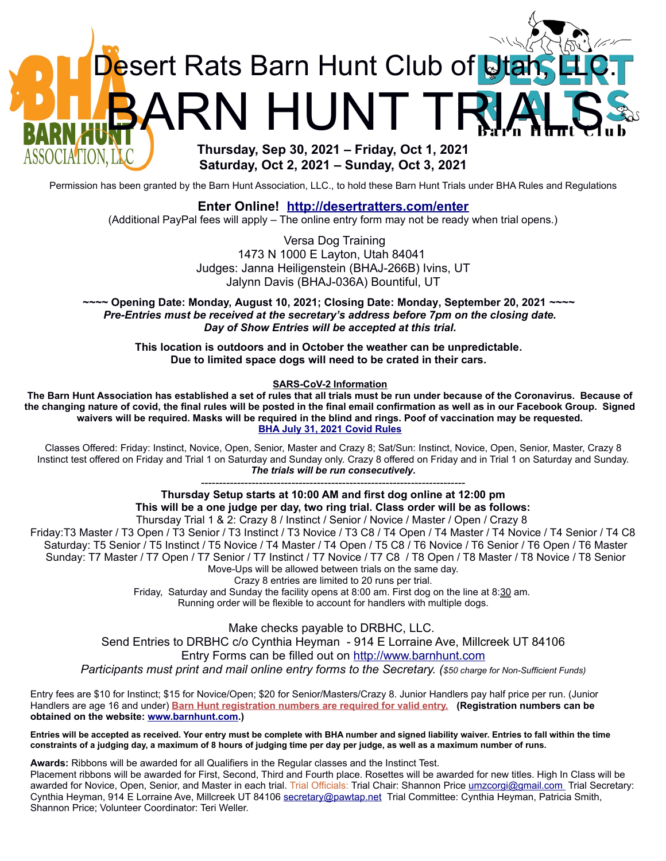

**Saturday, Oct 2, 2021 – Sunday, Oct 3, 2021**

Permission has been granted by the Barn Hunt Association, LLC., to hold these Barn Hunt Trials under BHA Rules and Regulations

## **Enter Online! <http://desertratters.com/enter>**

(Additional PayPal fees will apply – The online entry form may not be ready when trial opens.)

Versa Dog Training 1473 N 1000 E Layton, Utah 84041 Judges: Janna Heiligenstein (BHAJ-266B) Ivins, UT Jalynn Davis (BHAJ-036A) Bountiful, UT

**~~~~ Opening Date: Monday, August 10, 2021; Closing Date: Monday, September 20, 2021** *~~~~ Pre-Entries must be received at the secretary's address before 7pm on the closing date. Day of Show Entries will be accepted at this trial.*

**This location is outdoors and in October the weather can be unpredictable. Due to limited space dogs will need to be crated in their cars.** 

**SARS-CoV-2 Information**

**The Barn Hunt Association has established a set of rules that all trials must be run under because of the Coronavirus. Because of the changing nature of covid, the final rules will be posted in the final email confirmation as well as in our Facebook Group. Signed waivers will be required. Masks will be required in the blind and rings. Poof of vaccination may be requested. [BHA July 31, 2021 Covid Rules](http://www.barnhunt.com/rules/covidrules.pdf)**

Classes Offered: Friday: Instinct, Novice, Open, Senior, Master and Crazy 8; Sat/Sun: Instinct, Novice, Open, Senior, Master, Crazy 8 Instinct test offered on Friday and Trial 1 on Saturday and Sunday only. Crazy 8 offered on Friday and in Trial 1 on Saturday and Sunday. *The trials will be run consecutively.*

> ------------------------------------------------------------------------- **Thursday Setup starts at 10:00 AM and first dog online at 12:00 pm This will be a one judge per day, two ring trial. Class order will be as follows:**

Thursday Trial 1 & 2: Crazy 8 / Instinct / Senior / Novice / Master / Open / Crazy 8 Friday:T3 Master / T3 Open / T3 Senior / T3 Instinct / T3 Novice / T3 C8 / T4 Open / T4 Master / T4 Novice / T4 Senior / T4 C8 Saturday: T5 Senior / T5 Instinct / T5 Novice / T4 Master / T4 Open / T5 C8 / T6 Novice / T6 Senior / T6 Open / T6 Master Sunday: T7 Master / T7 Open / T7 Senior / T7 Instinct / T7 Novice / T7 C8 / T8 Open / T8 Master / T8 Novice / T8 Senior Move-Ups will be allowed between trials on the same day.

Crazy 8 entries are limited to 20 runs per trial.

Friday, Saturday and Sunday the facility opens at 8:00 am. First dog on the line at 8:30 am. Running order will be flexible to account for handlers with multiple dogs.

Make checks payable to DRBHC, LLC.

Send Entries to DRBHC c/o Cynthia Heyman - 914 E Lorraine Ave, Millcreek UT 84106 Entry Forms can be filled out on [http://www.barnhunt.com](http://www.barnhunt.com/) *Participants must print and mail online entry forms to the Secretary. (\$50 charge for Non-Sufficient Funds)*

Entry fees are \$10 for Instinct; \$15 for Novice/Open; \$20 for Senior/Masters/Crazy 8. Junior Handlers pay half price per run. (Junior Handlers are age 16 and under) **Barn Hunt registration numbers are required for valid entry. (Registration numbers can be obtained on the website: [www.barnhunt.com](http://www.barnhunt.com/).)**

**Entries will be accepted as received. Your entry must be complete with BHA number and signed liability waiver. Entries to fall within the time constraints of a judging day, a maximum of 8 hours of judging time per day per judge, as well as a maximum number of runs.**

**Awards:** Ribbons will be awarded for all Qualifiers in the Regular classes and the Instinct Test.

Placement ribbons will be awarded for First, Second, Third and Fourth place. Rosettes will be awarded for new titles. High In Class will be awarded for Novice, Open, Senior, and Master in each trial. Trial Officials: Trial Chair: Shannon Price [umzcorgi@gmail.com](mailto:umzcorgi@gmail.com%20) Trial Secretary: Cynthia Heyman, 914 E Lorraine Ave, Millcreek UT 84106 [secretary@pawtap.net](mailto:secretary@pawtap.net) Trial Committee: Cynthia Heyman, Patricia Smith, Shannon Price; Volunteer Coordinator: Teri Weller.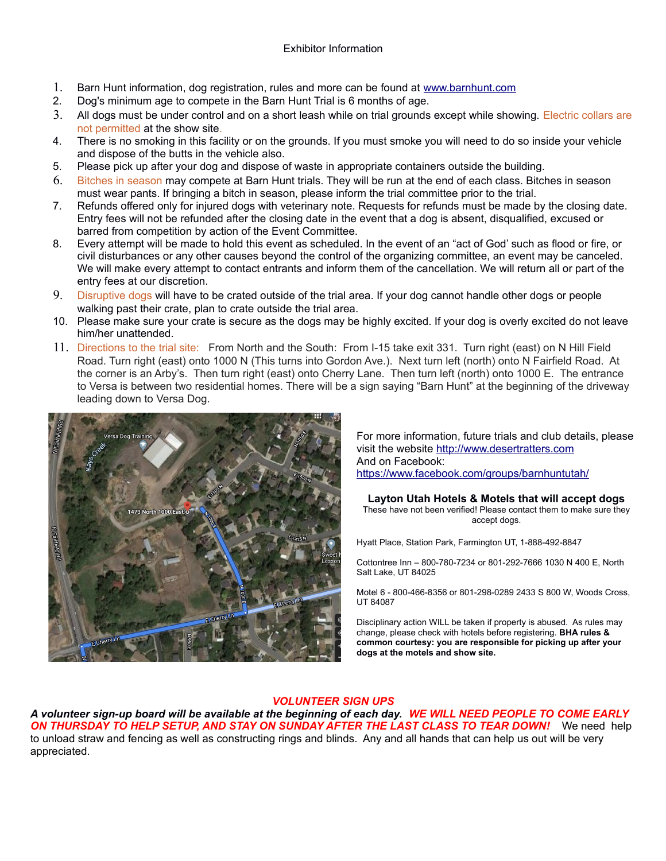## Exhibitor Information

- 1. Barn Hunt information, dog registration, rules and more can be found at [www.barnhunt.com](http://www.barnhunt.com/)
- 2. Dog's minimum age to compete in the Barn Hunt Trial is 6 months of age.
- 3. All dogs must be under control and on a short leash while on trial grounds except while showing. Electric collars are not permitted at the show site.
- 4. There is no smoking in this facility or on the grounds. If you must smoke you will need to do so inside your vehicle and dispose of the butts in the vehicle also.
- 5. Please pick up after your dog and dispose of waste in appropriate containers outside the building.
- 6. Bitches in season may compete at Barn Hunt trials. They will be run at the end of each class. Bitches in season must wear pants. If bringing a bitch in season, please inform the trial committee prior to the trial.
- 7. Refunds offered only for injured dogs with veterinary note. Requests for refunds must be made by the closing date. Entry fees will not be refunded after the closing date in the event that a dog is absent, disqualified, excused or barred from competition by action of the Event Committee.
- 8. Every attempt will be made to hold this event as scheduled. In the event of an "act of God' such as flood or fire, or civil disturbances or any other causes beyond the control of the organizing committee, an event may be canceled. We will make every attempt to contact entrants and inform them of the cancellation. We will return all or part of the entry fees at our discretion.
- 9. Disruptive dogs will have to be crated outside of the trial area. If your dog cannot handle other dogs or people walking past their crate, plan to crate outside the trial area.
- 10. Please make sure your crate is secure as the dogs may be highly excited. If your dog is overly excited do not leave him/her unattended.
- 11. Directions to the trial site: From North and the South: From I-15 take exit 331. Turn right (east) on N Hill Field Road. Turn right (east) onto 1000 N (This turns into Gordon Ave.). Next turn left (north) onto N Fairfield Road. At the corner is an Arby's. Then turn right (east) onto Cherry Lane. Then turn left (north) onto 1000 E. The entrance to Versa is between two residential homes. There will be a sign saying "Barn Hunt" at the beginning of the driveway leading down to Versa Dog.



For more information, future trials and club details, please visit the website [http://www.desertratters.com](http://www.bhcnu.com/) And on Facebook: <https://www.facebook.com/groups/barnhuntutah/>

**Layton Utah Hotels & Motels that will accept dogs** These have not been verified! Please contact them to make sure they accept dogs.

Hyatt Place, Station Park, Farmington UT, 1-888-492-8847

Cottontree Inn – 800-780-7234 or 801-292-7666 1030 N 400 E, North Salt Lake, UT 84025

Motel 6 - 800-466-8356 or 801-298-0289 2433 S 800 W, Woods Cross, UT 84087

Disciplinary action WILL be taken if property is abused. As rules may change, please check with hotels before registering. **BHA rules & common courtesy: you are responsible for picking up after your dogs at the motels and show site.**

## *VOLUNTEER SIGN UPS*

*A volunteer sign-up board will be available at the beginning of each day. WE WILL NEED PEOPLE TO COME EARLY ON THURSDAY TO HELP SETUP, AND STAY ON SUNDAY AFTER THE LAST CLASS TO TEAR DOWN!* We need help to unload straw and fencing as well as constructing rings and blinds. Any and all hands that can help us out will be very appreciated.